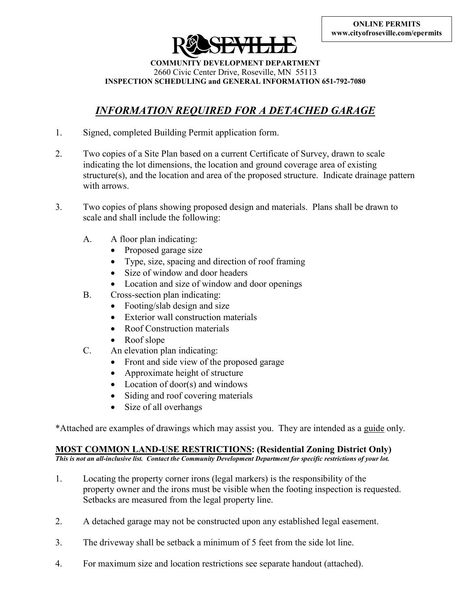

**COMMUNITY DEVELOPMENT DEPARTMENT**  2660 Civic Center Drive, Roseville, MN 55113 **INSPECTION SCHEDULING and GENERAL INFORMATION 651-792-7080**

# *INFORMATION REQUIRED FOR A DETACHED GARAGE*

- 1. Signed, completed Building Permit application form.
- 2. Two copies of a Site Plan based on a current Certificate of Survey, drawn to scale indicating the lot dimensions, the location and ground coverage area of existing structure(s), and the location and area of the proposed structure. Indicate drainage pattern with arrows.
- 3. Two copies of plans showing proposed design and materials. Plans shall be drawn to scale and shall include the following:
	- A. A floor plan indicating:
		- Proposed garage size
		- Type, size, spacing and direction of roof framing
		- Size of window and door headers
		- Location and size of window and door openings
	- B. Cross-section plan indicating:
		- Footing/slab design and size
		- Exterior wall construction materials
		- Roof Construction materials
		- Roof slope
	- C. An elevation plan indicating:
		- Front and side view of the proposed garage
		- Approximate height of structure
		- Location of door(s) and windows
		- Siding and roof covering materials
		- Size of all overhangs

\*Attached are examples of drawings which may assist you. They are intended as a guide only.

### **MOST COMMON LAND-USE RESTRICTIONS: (Residential Zoning District Only)**

*This is not an all-inclusive list. Contact the Community Development Department for specific restrictions of your lot.*

- 1. Locating the property corner irons (legal markers) is the responsibility of the property owner and the irons must be visible when the footing inspection is requested. Setbacks are measured from the legal property line.
- 2. A detached garage may not be constructed upon any established legal easement.
- 3. The driveway shall be setback a minimum of 5 feet from the side lot line.
- 4. For maximum size and location restrictions see separate handout (attached).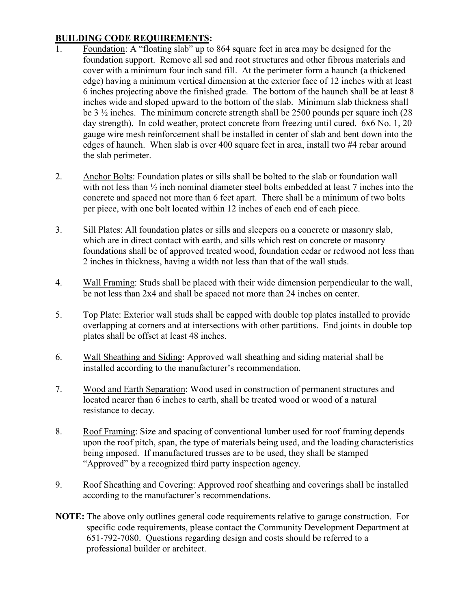## **BUILDING CODE REQUIREMENTS:**

- 1. Foundation: A "floating slab" up to 864 square feet in area may be designed for the foundation support. Remove all sod and root structures and other fibrous materials and cover with a minimum four inch sand fill. At the perimeter form a haunch (a thickened edge) having a minimum vertical dimension at the exterior face of 12 inches with at least 6 inches projecting above the finished grade. The bottom of the haunch shall be at least 8 inches wide and sloped upward to the bottom of the slab. Minimum slab thickness shall be 3 ½ inches. The minimum concrete strength shall be 2500 pounds per square inch (28 day strength). In cold weather, protect concrete from freezing until cured. 6x6 No. 1, 20 gauge wire mesh reinforcement shall be installed in center of slab and bent down into the edges of haunch. When slab is over 400 square feet in area, install two #4 rebar around the slab perimeter.
- 2. Anchor Bolts: Foundation plates or sills shall be bolted to the slab or foundation wall with not less than  $\frac{1}{2}$  inch nominal diameter steel bolts embedded at least 7 inches into the concrete and spaced not more than 6 feet apart. There shall be a minimum of two bolts per piece, with one bolt located within 12 inches of each end of each piece.
- 3. Sill Plates: All foundation plates or sills and sleepers on a concrete or masonry slab, which are in direct contact with earth, and sills which rest on concrete or masonry foundations shall be of approved treated wood, foundation cedar or redwood not less than 2 inches in thickness, having a width not less than that of the wall studs.
- 4. Wall Framing: Studs shall be placed with their wide dimension perpendicular to the wall, be not less than 2x4 and shall be spaced not more than 24 inches on center.
- 5. Top Plate: Exterior wall studs shall be capped with double top plates installed to provide overlapping at corners and at intersections with other partitions. End joints in double top plates shall be offset at least 48 inches.
- 6. Wall Sheathing and Siding: Approved wall sheathing and siding material shall be installed according to the manufacturer's recommendation.
- 7. Wood and Earth Separation: Wood used in construction of permanent structures and located nearer than 6 inches to earth, shall be treated wood or wood of a natural resistance to decay.
- 8. Roof Framing: Size and spacing of conventional lumber used for roof framing depends upon the roof pitch, span, the type of materials being used, and the loading characteristics being imposed. If manufactured trusses are to be used, they shall be stamped "Approved" by a recognized third party inspection agency.
- 9. Roof Sheathing and Covering: Approved roof sheathing and coverings shall be installed according to the manufacturer's recommendations.
- **NOTE:** The above only outlines general code requirements relative to garage construction. For specific code requirements, please contact the Community Development Department at 651-792-7080. Questions regarding design and costs should be referred to a professional builder or architect.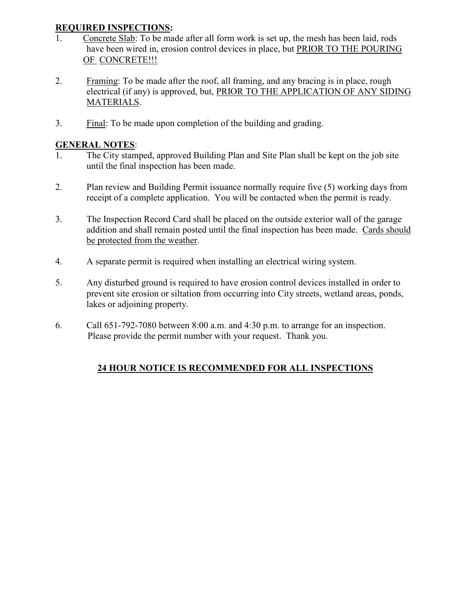## **REQUIRED INSPECTIONS:**

- 1. Concrete Slab: To be made after all form work is set up, the mesh has been laid, rods have been wired in, erosion control devices in place, but PRIOR TO THE POURING OF CONCRETE!!!
- 2. Framing: To be made after the roof, all framing, and any bracing is in place, rough electrical (if any) is approved, but, PRIOR TO THE APPLICATION OF ANY SIDING MATERIALS.
- 3. Final: To be made upon completion of the building and grading.

## **GENERAL NOTES**:

- 1. The City stamped, approved Building Plan and Site Plan shall be kept on the job site until the final inspection has been made.
- 2. Plan review and Building Permit issuance normally require five (5) working days from receipt of a complete application. You will be contacted when the permit is ready.
- 3. The Inspection Record Card shall be placed on the outside exterior wall of the garage addition and shall remain posted until the final inspection has been made. Cards should be protected from the weather.
- 4. A separate permit is required when installing an electrical wiring system.
- 5. Any disturbed ground is required to have erosion control devices installed in order to prevent site erosion or siltation from occurring into City streets, wetland areas, ponds, lakes or adjoining property.
- 6. Call 651-792-7080 between 8:00 a.m. and 4:30 p.m. to arrange for an inspection. Please provide the permit number with your request. Thank you.

## **24 HOUR NOTICE IS RECOMMENDED FOR ALL INSPECTIONS**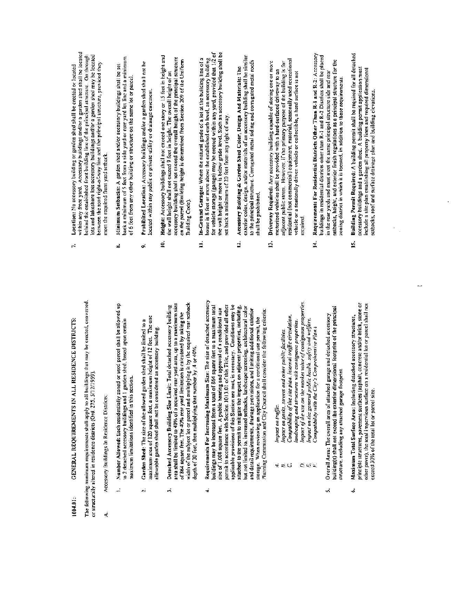# GENERAL REQUIREMENTS IN ALL RESIDENCE DISTRICTS: 1004.01:

The following minimum requirements shall apply to all buildings that may be erected, converted, or structurally altered in residence districts (Ord. 275, 5/12/1959).

- Accessory Buildings In Residence Districts:  $\dot{\mathbf{z}}$
- Number Allowed: Each residentially zoned or used parcel shall be allowed up to 2 detached accessory buildings and 1 garden shed, based upon certain maximum limitations identified in this section. Â
- maximum area of 120 square feet, a maximum height of 12 feet. The one Garden Shed: The size of the allowed garden shed shall be limited to a allowable garden shed shall not be considered an accessory building.  $\ddot{ }$
- area shall be limited to 40% of a required rear yard area, up to a maximum size width of the subject lot or parcel and multiplying it by the required rear setback Detached Accessory Building Size Limit: Total detached accessory building of 864 square feet. The 40% rear yard limitation is calculated by taking the depth of 30 feet, then multiplying that number by 4 or 40%.  $\mathcal{A}$
- Requirements For Increasing Maximum Size: The size of detached accessory buildings may be increased from a total of 864 square feet to a maximum total permit in accordance with Section 1013.01 of this Title, and provided all other applicable provisions of this Section are met, is necessary. Conditions may be attached to the permit to mitigate the impact on adjacent properties, including, but not limited to, increased setbacks, landscape screening, architectural color size of 1,008 square feet. A public hearing and approval of a conditional use and detail requirements, drainage provisions, and limiting additional exterior Planning Commission and City Council shall consider the following criteria: storage. When reviewing an application for a conditional use permit, the ÷.
- Impact on traffic.
- impact on parks, streets and other public facilities. ind
- Compatibility of the site plan, internal traffic circulation.
- Impact of the use on the market value of contiguous properties. landscaping and structures with contiguous properties.
- Impact on the general public health, safety and welfare.  $Q_{\mathcal{L}}(q) = \sum_{i=1}^n \sum_{i=1}^n \sum_{j=1}^n \sum_{j=1}^n \sum_{j=1}^n \sum_{j=1}^n \sum_{j=1}^n \sum_{j=1}^n \sum_{j=1}^n \sum_{j=1}^n \sum_{j=1}^n \sum_{j=1}^n \sum_{j=1}^n \sum_{j=1}^n \sum_{j=1}^n \sum_{j=1}^n \sum_{j=1}^n \sum_{j=1}^n \sum_{j=1}^n \sum_{j=1}^n \sum_{j=1}^n \sum_{j=1}^n \sum_{j=1}^n \$ 
	- Compatibility with the City's Comprehensive Plan:
- building(s) shall not exceed the exterior dimensional footprint of the principal Overall Area: The overall area of attached garage and detached accessory structure, excluding any attached garage footprint  $\lambda$
- principle structures, pavement surfaces (asphalt, concrete and/or brick, stone or other paver), the total impervious surface on a residential lot or parcel shall not Maximum Total Surface Area: Including detached accessory structures, exceed 30% of the total lot or parcel size. á
- within any front yard. Accessory buildings and/or a garden shed shall be located lots and lakeshore lots accessory buildings and/or a garden shed may be located behind the established front building line of the principal structure. On through between the road right-of-way line and the principal structure, provided they Location: No accessory building or garden shed shall be crected or located meet the required front yard setback.  $\ddot{r}$
- back a minimum of 5 feet from a side yard or rear yard lot line and a minimum Minimum Setbacks: A garden shed and/or accessory buildings shall be set of 6 feet from any other building or structure on the same lot or parcel. оô
- Prohibited Location: Accessory buildings and/or a garden shed shall not be ocated within any public or private utility or drainage easement. 9.
- Helght: Accessory buildings shall not exceed one story or 15 feet in height and accessory building shall not exceed the overall height of the principal structure on the parcel (Building height is determined from Section 209 of the Uniform the wall height shall not exceed 9 feet in height. The overall height of an Building Code). 10.
- for vehicle storage (gamge) may be erected within any yard, provided that 1/2 of the wall height or more is below grade level. Such an accessory building shall be In-Ground Garages: Where the natural grade of a lot of the building line of a house is 8 feet or more above the established earb level, an accessory building set back a minimum of 20 feet from any right of way. E
- exterior color, design, and/or materials of an accessory building shall be similar to the principal structure. Corrugated metal siding and corrugated metal roofs Accessory Building & Garden Shed Color, Design And Materials: The shall be prohibited. ₫.
- residential (not commercial) equipment, material, seasonally used recreational Driveway Required: Any accessory building capable of storing one or more adjacent public street. However, if the primary purpose of the building is for motorized vehicles shall be provided with a hard-surfaced driveway to an vehicle or a seasonally driven vehicle or collectible, a hard surface is not required.  $\ddot{2}$
- Requirements For Residential Districts Other Than R-1 and R-2: Accessory buildings in residential districts other than R-1 and R-2 Districts shall be placed selbacks, height, and exterior finish regulations as a principal structure for the in the rear yards and must meet the same principal structure side and rear zoning district in which it is tocated, in addition to these requirements.  $\mathbf{1}$
- Building Permit Required: A building permit shall be required for all detached accessory buildings and a garden shed. A building permit application must include a site plan establishing all property lines and required dimensional setbacks, roof and surface drainage plan and building elevations. is.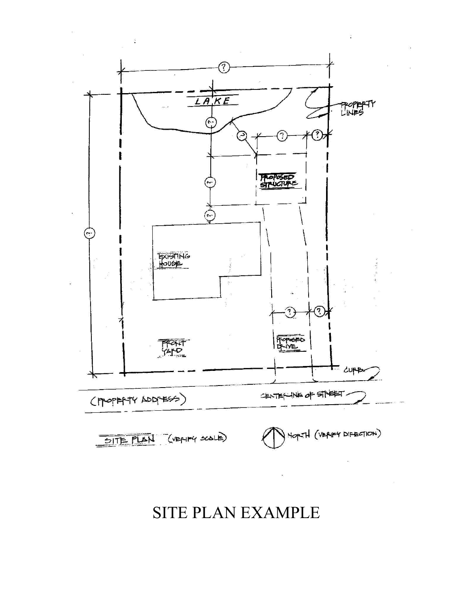# $\widehat{\mathcal{C}}$ LAKE PPOPERTY<br>LINES چ ි. **HAPPSED**  $\tilde{\mathcal{C}}$ **EXISTING** ্? FOPEFO **FRAT**<br>SALS = cuppo CENTERLINE OF STREET (PROPERTY ADDRESS) HOPIH (VERIFY DIFECTION) SITE PLAN (VEAIFY SCALE)

# SITE PLAN EXAMPLE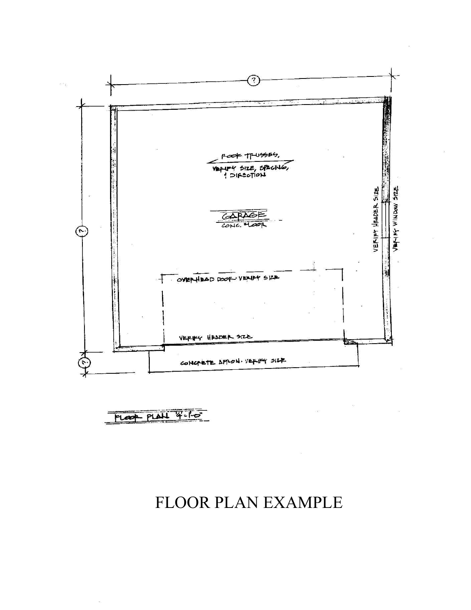

# FLOOR PLAN EXAMPLE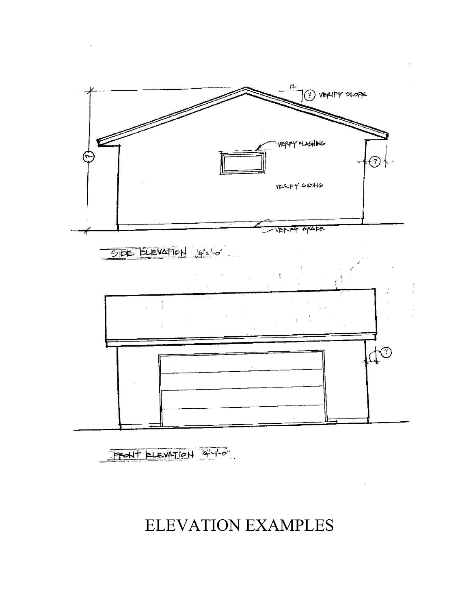# ELEVATION EXAMPLES

FRONT ELEVATION 4-1-0